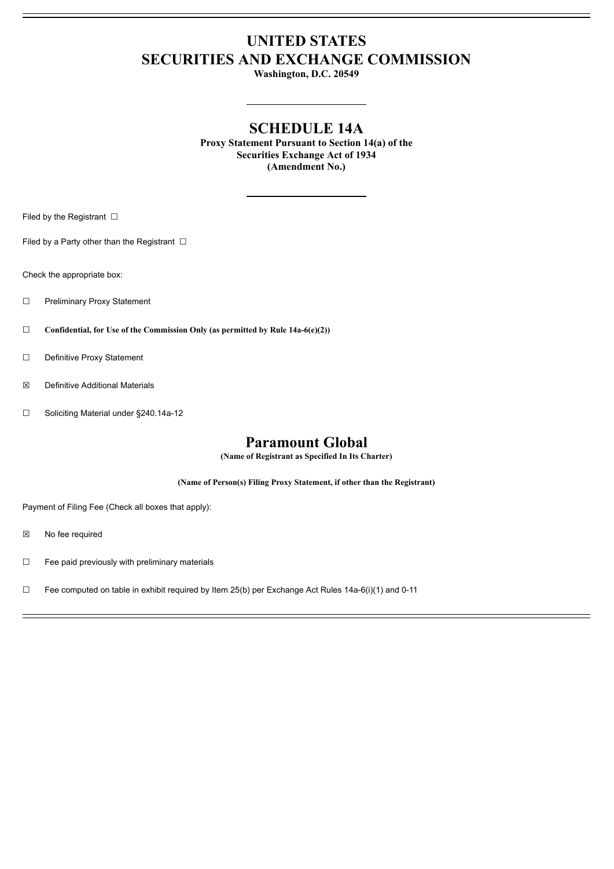# **UNITED STATES SECURITIES AND EXCHANGE COMMISSION**

**Washington, D.C. 20549**

# **SCHEDULE 14A**

**Proxy Statement Pursuant to Section 14(a) of the Securities Exchange Act of 1934 (Amendment No.)**

Filed by the Registrant  $\Box$ 

Filed by a Party other than the Registrant  $□$ 

Check the appropriate box:

- ☐ Preliminary Proxy Statement
- ☐ **Confidential, for Use of the Commission Only (as permitted by Rule 14a-6(e)(2))**
- ☐ Definitive Proxy Statement
- ☒ Definitive Additional Materials
- ☐ Soliciting Material under §240.14a-12

## **Paramount Global**

**(Name of Registrant as Specified In Its Charter)**

**(Name of Person(s) Filing Proxy Statement, if other than the Registrant)**

Payment of Filing Fee (Check all boxes that apply):

- ☒ No fee required
- ☐ Fee paid previously with preliminary materials
- □ Fee computed on table in exhibit required by Item 25(b) per Exchange Act Rules 14a-6(i)(1) and 0-11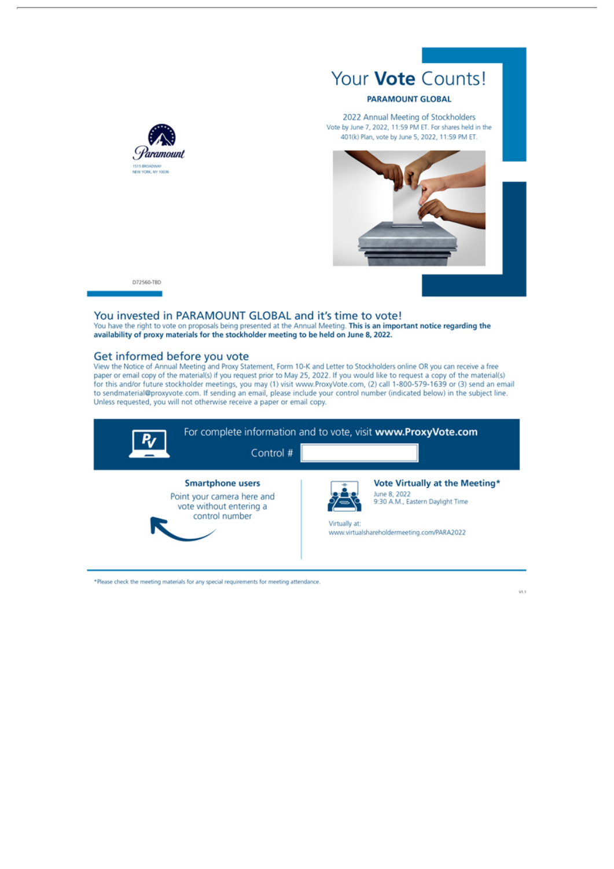

2022 Annual Meeting of Stockholders Vote by June 7, 2022, 11:59 PM ET. For shares held in the 401(k) Plan, vote by June 5, 2022, 11:59 PM ET.



D72560-TBD

### You invested in PARAMOUNT GLOBAL and it's time to vote!

You have the right to vote on proposals being presented at the Annual Meeting. This is an important notice regarding the availability of proxy materials for the stockholder meeting to be held on June 8, 2022.

## Get informed before you vote

View the Notice of Annual Meeting and Proxy Statement, Form 10-K and Letter to Stockholders online OR you can receive a free paper or email copy of the material(s) if you request prior to May 25, 2022. If you would like to request a copy of the material(s) for this and/or future stockholder meetings, you may (1) visit www.ProxyVote.com, (2) call 1-800-579-1639 or (3) send an email to sendmaterial@proxyvote.com. If sending an email, please include your control number (indicated below) in the subject line. Unless requested, you will not otherwise receive a paper or email copy.



\*Please check the meeting materials for any special requirements for meeting attendance.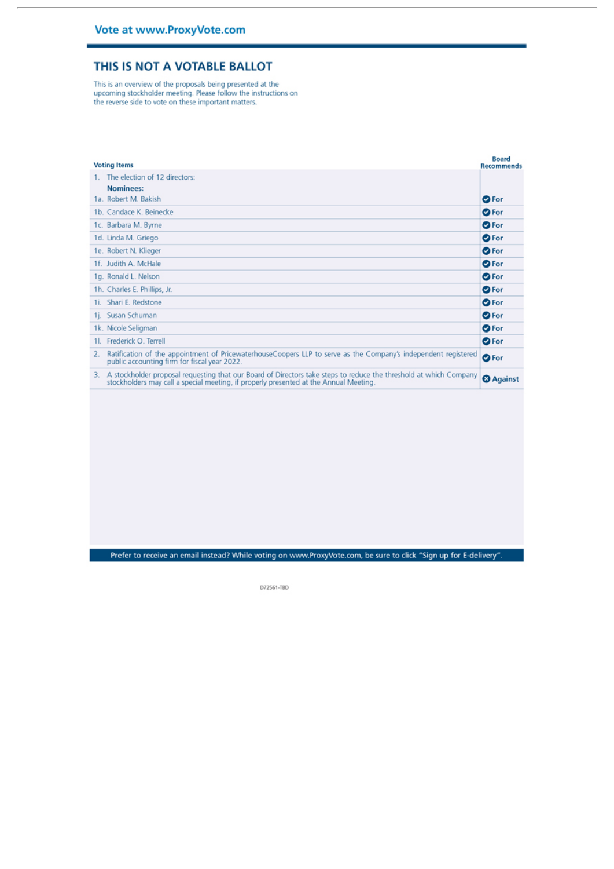## THIS IS NOT A VOTABLE BALLOT

This is an overview of the proposals being presented at the upcoming stockholder meeting. Please follow the instructions on the reverse side to vote on these important matters.

| <b>Voting Items</b><br>Recommends |                                                                                                                                                                                                            |                  |
|-----------------------------------|------------------------------------------------------------------------------------------------------------------------------------------------------------------------------------------------------------|------------------|
|                                   | The election of 12 directors:                                                                                                                                                                              |                  |
|                                   | Nominees:                                                                                                                                                                                                  |                  |
|                                   | 1a. Robert M. Bakish                                                                                                                                                                                       | <b>O</b> For     |
|                                   | 1b. Candace K. Beinecke                                                                                                                                                                                    | <b>O</b> For     |
|                                   | 1c. Barbara M. Byrne                                                                                                                                                                                       | <b>O</b> For     |
|                                   | 1d. Linda M. Griego                                                                                                                                                                                        | <b>O</b> For     |
|                                   | 1e. Robert N. Klieger                                                                                                                                                                                      | <b>O</b> For     |
|                                   | 1f. Judith A. McHale                                                                                                                                                                                       | <b>O</b> For     |
|                                   | 1g. Ronald L. Nelson                                                                                                                                                                                       | <b>O</b> For     |
|                                   | 1h. Charles E. Phillips, Jr.                                                                                                                                                                               | <b>O</b> For     |
|                                   | 1i. Shari E. Redstone                                                                                                                                                                                      | <b>O</b> For     |
|                                   | 1j. Susan Schuman                                                                                                                                                                                          | <b>O</b> For     |
|                                   | 1k. Nicole Seligman                                                                                                                                                                                        | <b>O</b> For     |
|                                   | 11. Frederick O. Terrell                                                                                                                                                                                   | <b>O</b> For     |
|                                   | Ratification of the appointment of PricewaterhouseCoopers LLP to serve as the Company's independent registered<br>public accounting firm for fiscal year 2022.                                             | <b>O</b> For     |
| 3.                                | A stockholder proposal requesting that our Board of Directors take steps to reduce the threshold at which Company<br>stockholders may call a special meeting, if properly presented at the Annual Meeting. | <b>3</b> Against |

Prefer to receive an email instead? While voting on www.ProxyVote.com, be sure to click "Sign up for E-delivery".

D72561-TBD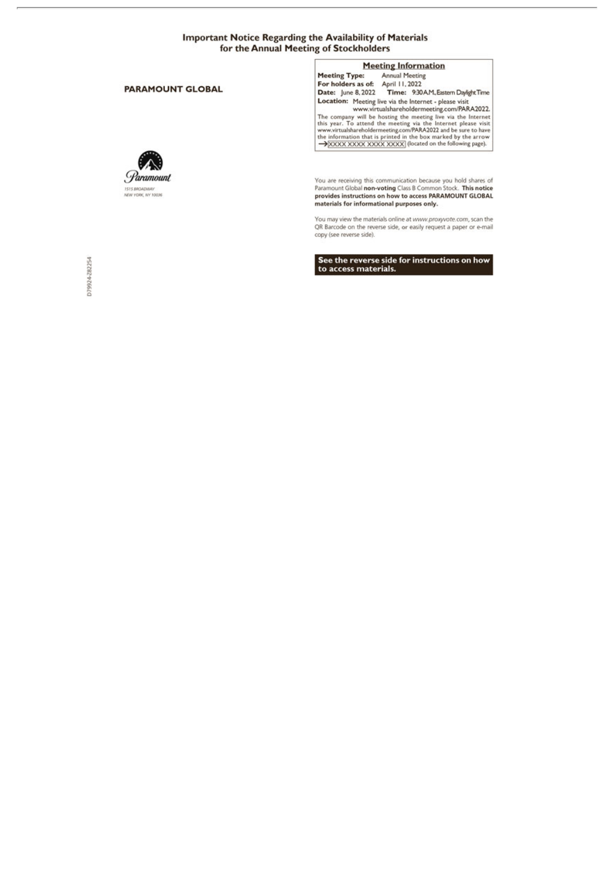#### **Important Notice Regarding the Availability of Materials** for the Annual Meeting of Stockholders

#### **PARAMOUNT GLOBAL**



**Meeting Information Annual Meeting Meeting Type:** For holders as of: April 11, 2022<br>
Date: June 8, 2022 Time: 9:30 AM, Eastern Daylight Time **Date:** June 8, 2022<br> **Time:** 9:30AM, Eastern Daylight Time<br>
Location: Meeting live via the Internet - please visit<br>
www.wirtualshareholdermeeting.com/PARA2022.<br>
The company will be hosting the meeting live via the Intern

You are receiving this communication because you hold shares of<br>Paramount Global non-voting Class B Common Stock. This notice provides instructions on how to access PARAMOUNT GLOBAL materials for informational purposes only.

You may view the materials online at www.proxyvote.com, scan the QR Barcode on the reverse side, or easily request a paper or e-mail<br>copy (see reverse side).

See the reverse side for instructions on how<br>to access materials.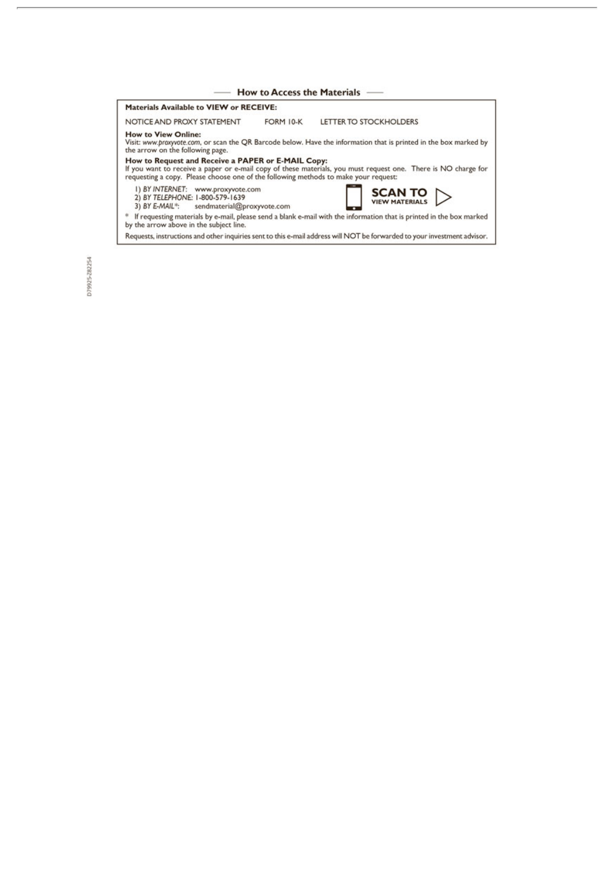| How to Access the Materials -                                                                                                             |           |                                                                                                                          |  |  |
|-------------------------------------------------------------------------------------------------------------------------------------------|-----------|--------------------------------------------------------------------------------------------------------------------------|--|--|
| Materials Available to VIEW or RECEIVE:                                                                                                   |           |                                                                                                                          |  |  |
| NOTICE AND PROXY STATEMENT                                                                                                                | FORM 10-K | LETTER TO STOCKHOLDERS                                                                                                   |  |  |
| <b>How to View Online:</b><br>the arrow on the following page.                                                                            |           | Visit: www.proxyvote.com, or scan the QR Barcode below. Have the information that is printed in the box marked by        |  |  |
| How to Request and Receive a PAPER or E-MAIL Copy:<br>requesting a copy. Please choose one of the following methods to make your request: |           | If you want to receive a paper or e-mail copy of these materials, you must request one. There is NO charge for           |  |  |
| 1) BY INTERNET: www.proxyvote.com<br>2) BY TELEPHONE: 1-800-579-1639<br>3) BY E-MAIL*: sendmaterial@proxyvote.com                         |           |                                                                                                                          |  |  |
| by the arrow above in the subject line.                                                                                                   |           | If requesting materials by e-mail, please send a blank e-mail with the information that is printed in the box marked     |  |  |
|                                                                                                                                           |           | Requests, instructions and other inquiries sent to this e-mail address will NOT be forwarded to your investment advisor. |  |  |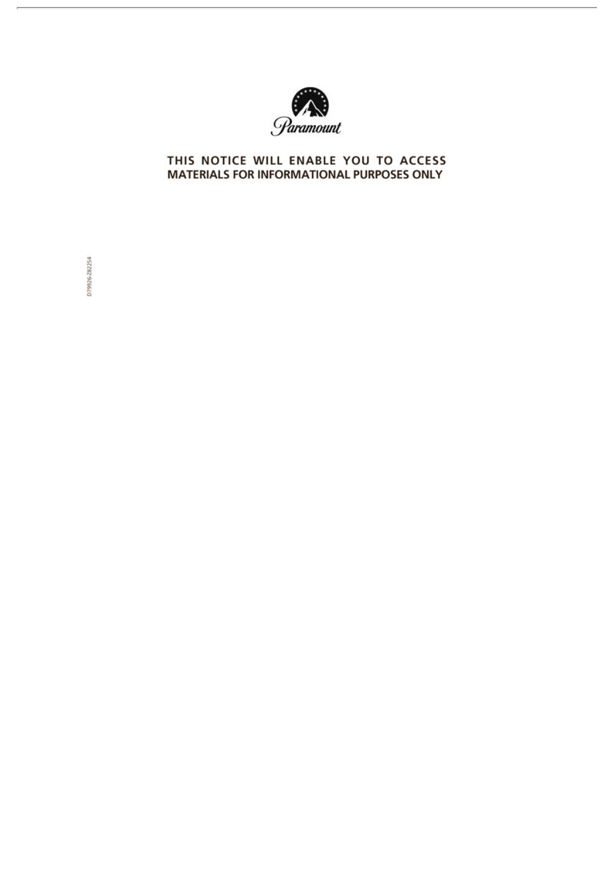

## THIS NOTICE WILL ENABLE YOU TO ACCESS MATERIALS FOR INFORMATIONAL PURPOSES ONLY